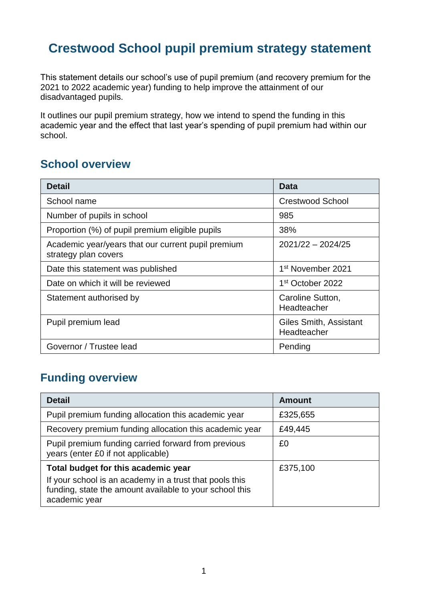## **Crestwood School pupil premium strategy statement**

This statement details our school's use of pupil premium (and recovery premium for the 2021 to 2022 academic year) funding to help improve the attainment of our disadvantaged pupils.

It outlines our pupil premium strategy, how we intend to spend the funding in this academic year and the effect that last year's spending of pupil premium had within our school.

### **School overview**

| <b>Detail</b>                                                              | Data                                  |
|----------------------------------------------------------------------------|---------------------------------------|
| School name                                                                | <b>Crestwood School</b>               |
| Number of pupils in school                                                 | 985                                   |
| Proportion (%) of pupil premium eligible pupils                            | 38%                                   |
| Academic year/years that our current pupil premium<br>strategy plan covers | $2021/22 - 2024/25$                   |
| Date this statement was published                                          | 1 <sup>st</sup> November 2021         |
| Date on which it will be reviewed                                          | 1 <sup>st</sup> October 2022          |
| Statement authorised by                                                    | Caroline Sutton,<br>Headteacher       |
| Pupil premium lead                                                         | Giles Smith, Assistant<br>Headteacher |
| Governor / Trustee lead                                                    | Pending                               |

### **Funding overview**

| <b>Detail</b>                                                                                                                       | <b>Amount</b> |
|-------------------------------------------------------------------------------------------------------------------------------------|---------------|
| Pupil premium funding allocation this academic year                                                                                 | £325,655      |
| Recovery premium funding allocation this academic year                                                                              | £49,445       |
| Pupil premium funding carried forward from previous<br>years (enter £0 if not applicable)                                           | £0            |
| Total budget for this academic year                                                                                                 | £375,100      |
| If your school is an academy in a trust that pools this<br>funding, state the amount available to your school this<br>academic year |               |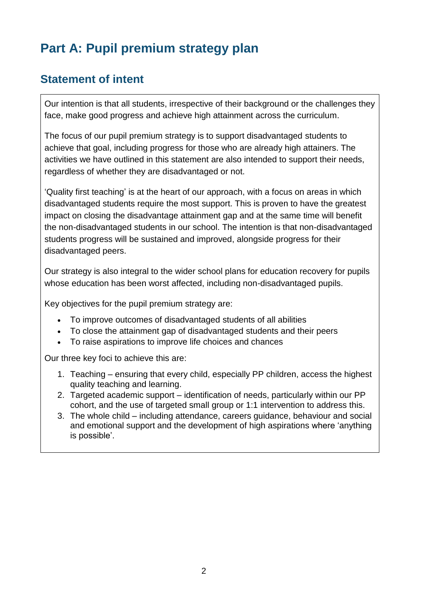# **Part A: Pupil premium strategy plan**

### **Statement of intent**

Our intention is that all students, irrespective of their background or the challenges they face, make good progress and achieve high attainment across the curriculum.

The focus of our pupil premium strategy is to support disadvantaged students to achieve that goal, including progress for those who are already high attainers. The activities we have outlined in this statement are also intended to support their needs, regardless of whether they are disadvantaged or not.

'Quality first teaching' is at the heart of our approach, with a focus on areas in which disadvantaged students require the most support. This is proven to have the greatest impact on closing the disadvantage attainment gap and at the same time will benefit the non-disadvantaged students in our school. The intention is that non-disadvantaged students progress will be sustained and improved, alongside progress for their disadvantaged peers.

Our strategy is also integral to the wider school plans for education recovery for pupils whose education has been worst affected, including non-disadvantaged pupils.

Key objectives for the pupil premium strategy are:

- To improve outcomes of disadvantaged students of all abilities
- To close the attainment gap of disadvantaged students and their peers
- To raise aspirations to improve life choices and chances

Our three key foci to achieve this are:

- 1. Teaching ensuring that every child, especially PP children, access the highest quality teaching and learning.
- 2. Targeted academic support identification of needs, particularly within our PP cohort, and the use of targeted small group or 1:1 intervention to address this.
- 3. The whole child including attendance, careers guidance, behaviour and social and emotional support and the development of high aspirations where 'anything is possible'.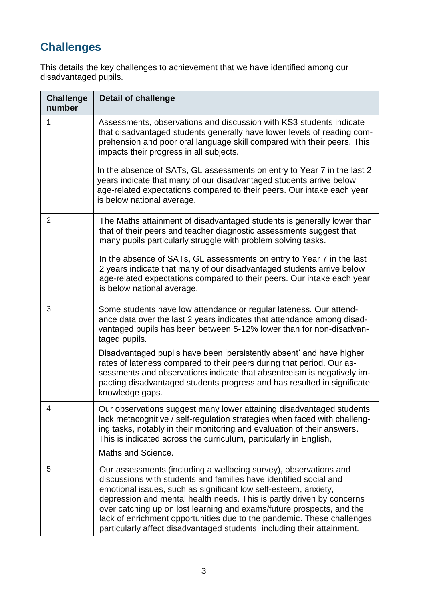## **Challenges**

This details the key challenges to achievement that we have identified among our disadvantaged pupils.

| <b>Challenge</b><br>number | <b>Detail of challenge</b>                                                                                                                                                                                                                                                                                                                                                                                                                                                                                      |
|----------------------------|-----------------------------------------------------------------------------------------------------------------------------------------------------------------------------------------------------------------------------------------------------------------------------------------------------------------------------------------------------------------------------------------------------------------------------------------------------------------------------------------------------------------|
| 1                          | Assessments, observations and discussion with KS3 students indicate<br>that disadvantaged students generally have lower levels of reading com-<br>prehension and poor oral language skill compared with their peers. This<br>impacts their progress in all subjects.                                                                                                                                                                                                                                            |
|                            | In the absence of SATs, GL assessments on entry to Year 7 in the last 2<br>years indicate that many of our disadvantaged students arrive below<br>age-related expectations compared to their peers. Our intake each year<br>is below national average.                                                                                                                                                                                                                                                          |
| $\overline{2}$             | The Maths attainment of disadvantaged students is generally lower than<br>that of their peers and teacher diagnostic assessments suggest that<br>many pupils particularly struggle with problem solving tasks.                                                                                                                                                                                                                                                                                                  |
|                            | In the absence of SATs, GL assessments on entry to Year 7 in the last<br>2 years indicate that many of our disadvantaged students arrive below<br>age-related expectations compared to their peers. Our intake each year<br>is below national average.                                                                                                                                                                                                                                                          |
| 3                          | Some students have low attendance or regular lateness. Our attend-<br>ance data over the last 2 years indicates that attendance among disad-<br>vantaged pupils has been between 5-12% lower than for non-disadvan-<br>taged pupils.                                                                                                                                                                                                                                                                            |
|                            | Disadvantaged pupils have been 'persistently absent' and have higher<br>rates of lateness compared to their peers during that period. Our as-<br>sessments and observations indicate that absenteeism is negatively im-<br>pacting disadvantaged students progress and has resulted in significate<br>knowledge gaps.                                                                                                                                                                                           |
| 4                          | Our observations suggest many lower attaining disadvantaged students<br>lack metacognitive / self-regulation strategies when faced with challeng-<br>ing tasks, notably in their monitoring and evaluation of their answers.<br>This is indicated across the curriculum, particularly in English,                                                                                                                                                                                                               |
|                            | Maths and Science.                                                                                                                                                                                                                                                                                                                                                                                                                                                                                              |
| 5                          | Our assessments (including a wellbeing survey), observations and<br>discussions with students and families have identified social and<br>emotional issues, such as significant low self-esteem, anxiety,<br>depression and mental health needs. This is partly driven by concerns<br>over catching up on lost learning and exams/future prospects, and the<br>lack of enrichment opportunities due to the pandemic. These challenges<br>particularly affect disadvantaged students, including their attainment. |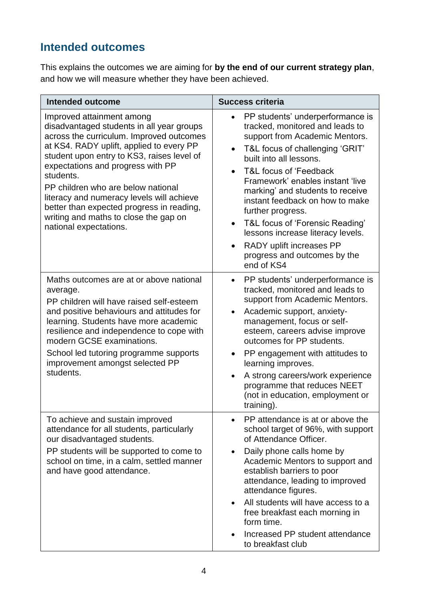### **Intended outcomes**

This explains the outcomes we are aiming for **by the end of our current strategy plan**, and how we will measure whether they have been achieved.

| <b>Intended outcome</b>                                                                                                                                                                                                                                                                                                                                                                                                                                           | <b>Success criteria</b>                                                                                                                                                                                                                                                                                                                                                                                                                                                                                                |
|-------------------------------------------------------------------------------------------------------------------------------------------------------------------------------------------------------------------------------------------------------------------------------------------------------------------------------------------------------------------------------------------------------------------------------------------------------------------|------------------------------------------------------------------------------------------------------------------------------------------------------------------------------------------------------------------------------------------------------------------------------------------------------------------------------------------------------------------------------------------------------------------------------------------------------------------------------------------------------------------------|
| Improved attainment among<br>disadvantaged students in all year groups<br>across the curriculum. Improved outcomes<br>at KS4. RADY uplift, applied to every PP<br>student upon entry to KS3, raises level of<br>expectations and progress with PP<br>students.<br>PP children who are below national<br>literacy and numeracy levels will achieve<br>better than expected progress in reading,<br>writing and maths to close the gap on<br>national expectations. | PP students' underperformance is<br>$\bullet$<br>tracked, monitored and leads to<br>support from Academic Mentors.<br>T&L focus of challenging 'GRIT'<br>$\bullet$<br>built into all lessons.<br>T&L focus of 'Feedback<br>Framework' enables instant 'live<br>marking' and students to receive<br>instant feedback on how to make<br>further progress.<br>T&L focus of 'Forensic Reading'<br>$\bullet$<br>lessons increase literacy levels.<br>RADY uplift increases PP<br>progress and outcomes by the<br>end of KS4 |
| Maths outcomes are at or above national<br>average.<br>PP children will have raised self-esteem<br>and positive behaviours and attitudes for<br>learning. Students have more academic<br>resilience and independence to cope with<br>modern GCSE examinations.<br>School led tutoring programme supports<br>improvement amongst selected PP<br>students.                                                                                                          | PP students' underperformance is<br>$\bullet$<br>tracked, monitored and leads to<br>support from Academic Mentors.<br>Academic support, anxiety-<br>$\bullet$<br>management, focus or self-<br>esteem, careers advise improve<br>outcomes for PP students.<br>PP engagement with attitudes to<br>learning improves.<br>A strong careers/work experience<br>programme that reduces NEET<br>(not in education, employment or<br>training).                                                                               |
| To achieve and sustain improved<br>attendance for all students, particularly<br>our disadvantaged students.<br>PP students will be supported to come to<br>school on time, in a calm, settled manner<br>and have good attendance.                                                                                                                                                                                                                                 | PP attendance is at or above the<br>school target of 96%, with support<br>of Attendance Officer.<br>Daily phone calls home by<br>$\bullet$<br>Academic Mentors to support and<br>establish barriers to poor<br>attendance, leading to improved<br>attendance figures.<br>All students will have access to a<br>$\bullet$<br>free breakfast each morning in<br>form time.<br>Increased PP student attendance<br>to breakfast club                                                                                       |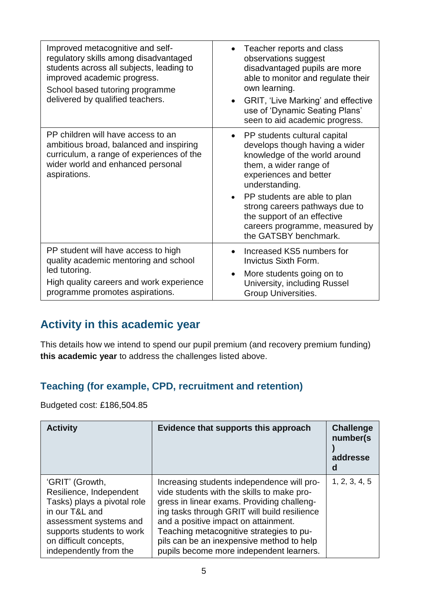| Improved metacognitive and self-<br>regulatory skills among disadvantaged<br>students across all subjects, leading to<br>improved academic progress.<br>School based tutoring programme<br>delivered by qualified teachers. | Teacher reports and class<br>$\bullet$<br>observations suggest<br>disadvantaged pupils are more<br>able to monitor and regulate their<br>own learning.<br>GRIT, 'Live Marking' and effective<br>$\bullet$<br>use of 'Dynamic Seating Plans'<br>seen to aid academic progress.                                                                    |
|-----------------------------------------------------------------------------------------------------------------------------------------------------------------------------------------------------------------------------|--------------------------------------------------------------------------------------------------------------------------------------------------------------------------------------------------------------------------------------------------------------------------------------------------------------------------------------------------|
| PP children will have access to an<br>ambitious broad, balanced and inspiring<br>curriculum, a range of experiences of the<br>wider world and enhanced personal<br>aspirations.                                             | PP students cultural capital<br>$\bullet$<br>develops though having a wider<br>knowledge of the world around<br>them, a wider range of<br>experiences and better<br>understanding.<br>• PP students are able to plan<br>strong careers pathways due to<br>the support of an effective<br>careers programme, measured by<br>the GATSBY benchmark. |
| PP student will have access to high<br>quality academic mentoring and school<br>led tutoring.<br>High quality careers and work experience<br>programme promotes aspirations.                                                | Increased KS5 numbers for<br><b>Invictus Sixth Form.</b><br>More students going on to<br>$\bullet$<br>University, including Russel<br><b>Group Universities.</b>                                                                                                                                                                                 |

### **Activity in this academic year**

This details how we intend to spend our pupil premium (and recovery premium funding) **this academic year** to address the challenges listed above.

#### **Teaching (for example, CPD, recruitment and retention)**

Budgeted cost: £186,504.85

| <b>Activity</b>                                                                                                                                                                                        | Evidence that supports this approach                                                                                                                                                                                                                                                                                                                                | <b>Challenge</b><br>number(s)<br>addresse<br>d |
|--------------------------------------------------------------------------------------------------------------------------------------------------------------------------------------------------------|---------------------------------------------------------------------------------------------------------------------------------------------------------------------------------------------------------------------------------------------------------------------------------------------------------------------------------------------------------------------|------------------------------------------------|
| 'GRIT' (Growth,<br>Resilience, Independent<br>Tasks) plays a pivotal role<br>in our T&L and<br>assessment systems and<br>supports students to work<br>on difficult concepts,<br>independently from the | Increasing students independence will pro-<br>vide students with the skills to make pro-<br>gress in linear exams. Providing challeng-<br>ing tasks through GRIT will build resilience<br>and a positive impact on attainment.<br>Teaching metacognitive strategies to pu-<br>pils can be an inexpensive method to help<br>pupils become more independent learners. | 1, 2, 3, 4, 5                                  |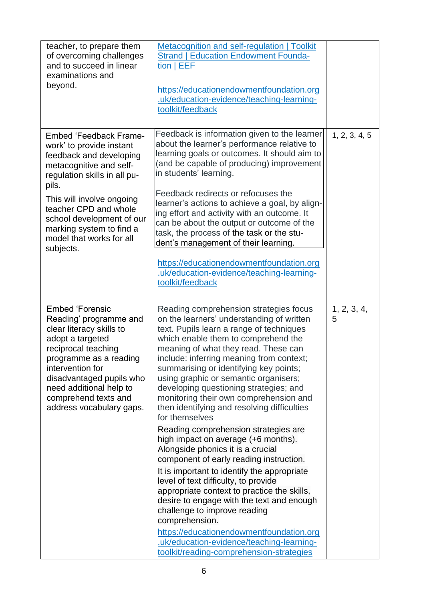| teacher, to prepare them<br>of overcoming challenges<br>and to succeed in linear<br>examinations and<br>beyond.                                                                                                                                                                                                  | <b>Metacognition and self-regulation   Toolkit</b><br><b>Strand   Education Endowment Founda-</b><br>tion $ EEF$<br>https://educationendowmentfoundation.org<br>.uk/education-evidence/teaching-learning-<br>toolkit/feedback                                                                                                                                                                                                                                                                                                                                                                                                                                                                                                                                                                                                                                                                                                                                                                                                               |                  |
|------------------------------------------------------------------------------------------------------------------------------------------------------------------------------------------------------------------------------------------------------------------------------------------------------------------|---------------------------------------------------------------------------------------------------------------------------------------------------------------------------------------------------------------------------------------------------------------------------------------------------------------------------------------------------------------------------------------------------------------------------------------------------------------------------------------------------------------------------------------------------------------------------------------------------------------------------------------------------------------------------------------------------------------------------------------------------------------------------------------------------------------------------------------------------------------------------------------------------------------------------------------------------------------------------------------------------------------------------------------------|------------------|
| <b>Embed 'Feedback Frame-</b><br>work' to provide instant<br>feedback and developing<br>metacognitive and self-<br>regulation skills in all pu-<br>pils.<br>This will involve ongoing<br>teacher CPD and whole<br>school development of our<br>marking system to find a<br>model that works for all<br>subjects. | Feedback is information given to the learner<br>about the learner's performance relative to<br>learning goals or outcomes. It should aim to<br>(and be capable of producing) improvement<br>in students' learning.<br>Feedback redirects or refocuses the<br>learner's actions to achieve a goal, by align-<br>ing effort and activity with an outcome. It<br>can be about the output or outcome of the<br>task, the process of the task or the stu-<br>dent's management of their learning.<br>https://educationendowmentfoundation.org<br>.uk/education-evidence/teaching-learning-                                                                                                                                                                                                                                                                                                                                                                                                                                                       | 1, 2, 3, 4, 5    |
|                                                                                                                                                                                                                                                                                                                  | toolkit/feedback                                                                                                                                                                                                                                                                                                                                                                                                                                                                                                                                                                                                                                                                                                                                                                                                                                                                                                                                                                                                                            |                  |
| <b>Embed 'Forensic</b><br>Reading' programme and<br>clear literacy skills to<br>adopt a targeted<br>reciprocal teaching<br>programme as a reading<br>intervention for<br>disadvantaged pupils who<br>need additional help to<br>comprehend texts and<br>address vocabulary gaps.                                 | Reading comprehension strategies focus<br>on the learners' understanding of written<br>text. Pupils learn a range of techniques<br>which enable them to comprehend the<br>meaning of what they read. These can<br>include: inferring meaning from context;<br>summarising or identifying key points;<br>using graphic or semantic organisers;<br>developing questioning strategies; and<br>monitoring their own comprehension and<br>then identifying and resolving difficulties<br>for themselves<br>Reading comprehension strategies are<br>high impact on average (+6 months).<br>Alongside phonics it is a crucial<br>component of early reading instruction.<br>It is important to identify the appropriate<br>level of text difficulty, to provide<br>appropriate context to practice the skills,<br>desire to engage with the text and enough<br>challenge to improve reading<br>comprehension.<br>https://educationendowmentfoundation.org<br>.uk/education-evidence/teaching-learning-<br>toolkit/reading-comprehension-strategies | 1, 2, 3, 4,<br>5 |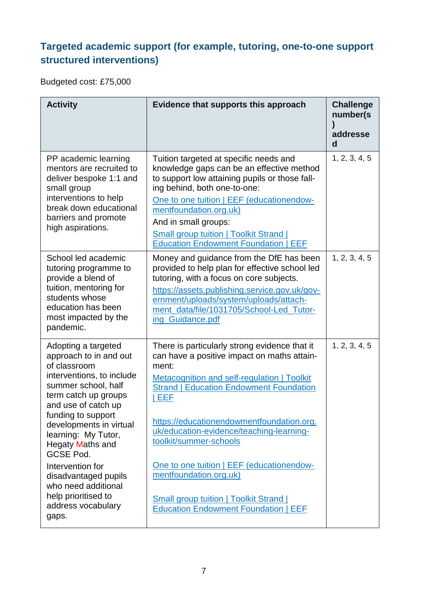### **Targeted academic support (for example, tutoring, one-to-one support structured interventions)**

Budgeted cost: £75,000

| <b>Activity</b>                                                                                                                                                                                                                                                                                                                                                                                           | Evidence that supports this approach                                                                                                                                                                                                                                                                                                                                                                                                                                                                    | <b>Challenge</b><br>number(s<br>addresse<br>d |
|-----------------------------------------------------------------------------------------------------------------------------------------------------------------------------------------------------------------------------------------------------------------------------------------------------------------------------------------------------------------------------------------------------------|---------------------------------------------------------------------------------------------------------------------------------------------------------------------------------------------------------------------------------------------------------------------------------------------------------------------------------------------------------------------------------------------------------------------------------------------------------------------------------------------------------|-----------------------------------------------|
| PP academic learning<br>mentors are recruited to<br>deliver bespoke 1:1 and<br>small group<br>interventions to help<br>break down educational<br>barriers and promote<br>high aspirations.                                                                                                                                                                                                                | Tuition targeted at specific needs and<br>knowledge gaps can be an effective method<br>to support low attaining pupils or those fall-<br>ing behind, both one-to-one:<br>One to one tuition   EEF (educationendow-<br>mentfoundation.org.uk)<br>And in small groups:<br><b>Small group tuition   Toolkit Strand  </b><br><b>Education Endowment Foundation   EEF</b>                                                                                                                                    | 1, 2, 3, 4, 5                                 |
| School led academic<br>tutoring programme to<br>provide a blend of<br>tuition, mentoring for<br>students whose<br>education has been<br>most impacted by the<br>pandemic.                                                                                                                                                                                                                                 | Money and guidance from the DfE has been<br>provided to help plan for effective school led<br>tutoring, with a focus on core subjects.<br>https://assets.publishing.service.gov.uk/gov-<br>ernment/uploads/system/uploads/attach-<br>ment_data/file/1031705/School-Led_Tutor-<br>ing Guidance.pdf                                                                                                                                                                                                       | 1, 2, 3, 4, 5                                 |
| Adopting a targeted<br>approach to in and out<br>of classroom<br>interventions, to include<br>summer school, half<br>term catch up groups<br>and use of catch up<br>funding to support<br>developments in virtual<br>learning: My Tutor,<br>Hegaty Maths and<br><b>GCSE Pod.</b><br>Intervention for<br>disadvantaged pupils<br>who need additional<br>help prioritised to<br>address vocabulary<br>gaps. | There is particularly strong evidence that it<br>can have a positive impact on maths attain-<br>ment:<br>Metacognition and self-regulation   Toolkit<br><b>Strand   Education Endowment Foundation</b><br>EEF<br>https://educationendowmentfoundation.org.<br>uk/education-evidence/teaching-learning-<br>toolkit/summer-schools<br>One to one tuition   EEF (educationendow-<br>mentfoundation.org.uk)<br><b>Small group tuition   Toolkit Strand  </b><br><b>Education Endowment Foundation   EEF</b> | 1, 2, 3, 4, 5                                 |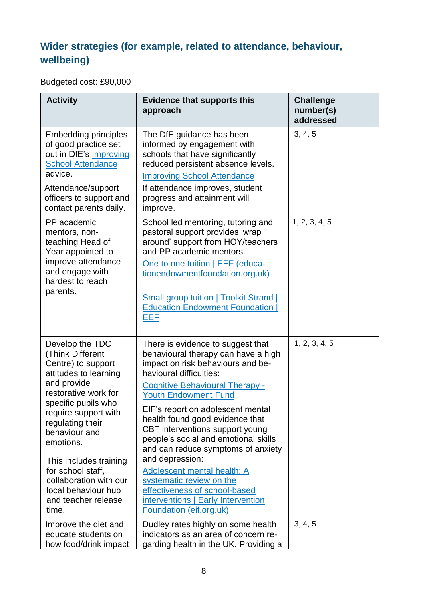### **Wider strategies (for example, related to attendance, behaviour, wellbeing)**

Budgeted cost: £90,000

| <b>Activity</b>                                                                                                                                                                                                                                                                                                                                            | <b>Evidence that supports this</b><br>approach                                                                                                                                                                                                                                                                                                                                                                                                                                                                                                                                             | <b>Challenge</b><br>number(s)<br>addressed |
|------------------------------------------------------------------------------------------------------------------------------------------------------------------------------------------------------------------------------------------------------------------------------------------------------------------------------------------------------------|--------------------------------------------------------------------------------------------------------------------------------------------------------------------------------------------------------------------------------------------------------------------------------------------------------------------------------------------------------------------------------------------------------------------------------------------------------------------------------------------------------------------------------------------------------------------------------------------|--------------------------------------------|
| <b>Embedding principles</b><br>of good practice set<br>out in DfE's Improving<br><b>School Attendance</b><br>advice.<br>Attendance/support<br>officers to support and<br>contact parents daily.                                                                                                                                                            | The DfE guidance has been<br>informed by engagement with<br>schools that have significantly<br>reduced persistent absence levels.<br><b>Improving School Attendance</b><br>If attendance improves, student<br>progress and attainment will<br>improve.                                                                                                                                                                                                                                                                                                                                     | 3, 4, 5                                    |
| PP academic<br>mentors, non-<br>teaching Head of<br>Year appointed to<br>improve attendance<br>and engage with<br>hardest to reach<br>parents.                                                                                                                                                                                                             | School led mentoring, tutoring and<br>pastoral support provides 'wrap<br>around' support from HOY/teachers<br>and PP academic mentors.<br>One to one tuition   EEF (educa-<br>tionendowmentfoundation.org.uk)<br><b>Small group tuition   Toolkit Strand  </b><br><b>Education Endowment Foundation  </b><br>EEF                                                                                                                                                                                                                                                                           | 1, 2, 3, 4, 5                              |
| Develop the TDC<br>(Think Different<br>Centre) to support<br>attitudes to learning<br>and provide<br>restorative work for<br>specific pupils who<br>require support with<br>regulating their<br>behaviour and<br>emotions.<br>This includes training<br>for school staff,<br>collaboration with our<br>local behaviour hub<br>and teacher release<br>time. | There is evidence to suggest that<br>behavioural therapy can have a high<br>impact on risk behaviours and be-<br>havioural difficulties:<br><b>Cognitive Behavioural Therapy -</b><br><b>Youth Endowment Fund</b><br>EIF's report on adolescent mental<br>health found good evidence that<br>CBT interventions support young<br>people's social and emotional skills<br>and can reduce symptoms of anxiety<br>and depression:<br>Adolescent mental health: A<br>systematic review on the<br>effectiveness of school-based<br>interventions   Early Intervention<br>Foundation (eif.org.uk) | 1, 2, 3, 4, 5                              |
| Improve the diet and<br>educate students on<br>how food/drink impact                                                                                                                                                                                                                                                                                       | Dudley rates highly on some health<br>indicators as an area of concern re-<br>garding health in the UK. Providing a                                                                                                                                                                                                                                                                                                                                                                                                                                                                        | 3, 4, 5                                    |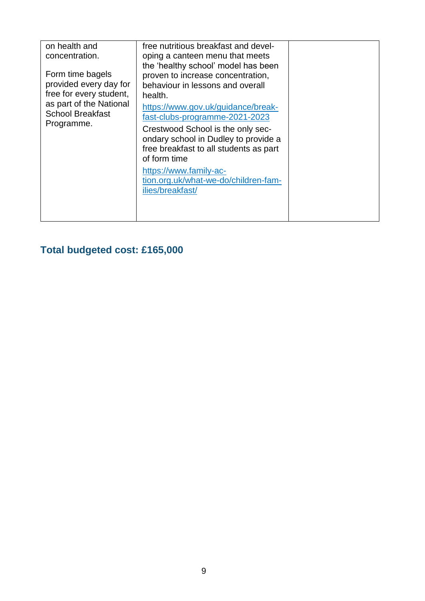| on health and<br>concentration.<br>Form time bagels<br>provided every day for<br>free for every student,<br>as part of the National<br><b>School Breakfast</b><br>Programme. | free nutritious breakfast and devel-<br>oping a canteen menu that meets<br>the 'healthy school' model has been<br>proven to increase concentration,<br>behaviour in lessons and overall<br>health.<br>https://www.gov.uk/guidance/break-<br>fast-clubs-programme-2021-2023<br>Crestwood School is the only sec-<br>ondary school in Dudley to provide a<br>free breakfast to all students as part<br>of form time<br>https://www.family-ac-<br>tion.org.uk/what-we-do/children-fam-<br>ilies/breakfast/ |  |
|------------------------------------------------------------------------------------------------------------------------------------------------------------------------------|---------------------------------------------------------------------------------------------------------------------------------------------------------------------------------------------------------------------------------------------------------------------------------------------------------------------------------------------------------------------------------------------------------------------------------------------------------------------------------------------------------|--|
|                                                                                                                                                                              |                                                                                                                                                                                                                                                                                                                                                                                                                                                                                                         |  |

## **Total budgeted cost: £165,000**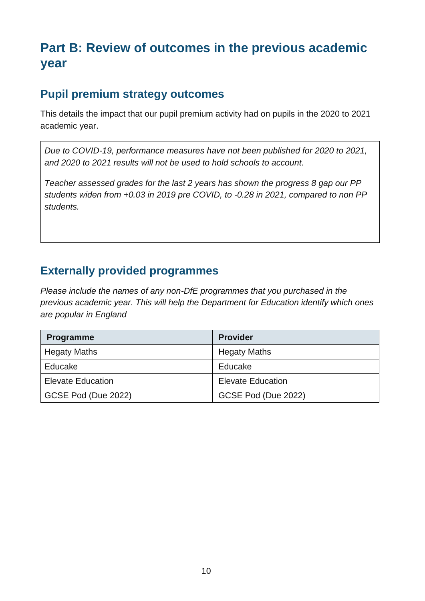## **Part B: Review of outcomes in the previous academic year**

#### **Pupil premium strategy outcomes**

This details the impact that our pupil premium activity had on pupils in the 2020 to 2021 academic year.

*Due to COVID-19, performance measures have not been published for 2020 to 2021, and 2020 to 2021 results will not be used to hold schools to account.* 

*Teacher assessed grades for the last 2 years has shown the progress 8 gap our PP students widen from +0.03 in 2019 pre COVID, to -0.28 in 2021, compared to non PP students.* 

### **Externally provided programmes**

*Please include the names of any non-DfE programmes that you purchased in the previous academic year. This will help the Department for Education identify which ones are popular in England*

| Programme                | <b>Provider</b>          |
|--------------------------|--------------------------|
| <b>Hegaty Maths</b>      | <b>Hegaty Maths</b>      |
| Educake                  | Educake                  |
| <b>Elevate Education</b> | <b>Elevate Education</b> |
| GCSE Pod (Due 2022)      | GCSE Pod (Due 2022)      |